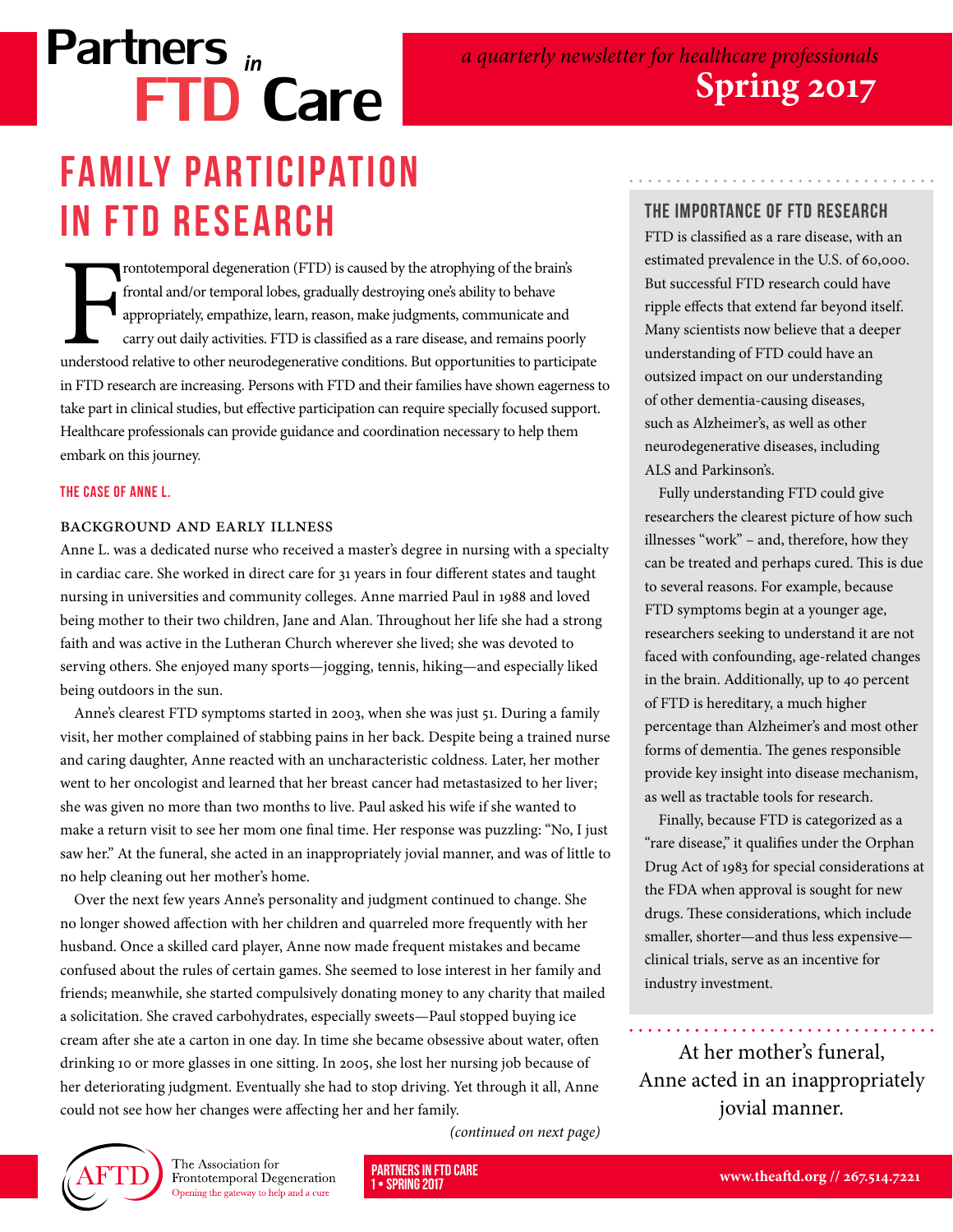# Partners *in* FTD Care **FAMILY PARTICIPATION** in FTD Research

Frontotemporal degeneration (FTD) is caused by the atrophying of the brain's frontal and/or temporal lobes, gradually destroying one's ability to behave appropriately, empathize, learn, reason, make judgments, communicate rontotemporal degeneration (FTD) is caused by the atrophying of the brain's frontal and/or temporal lobes, gradually destroying one's ability to behave appropriately, empathize, learn, reason, make judgments, communicate and carry out daily activities. FTD is classified as a rare disease, and remains poorly in FTD research are increasing. Persons with FTD and their families have shown eagerness to take part in clinical studies, but effective participation can require specially focused support. Healthcare professionals can provide guidance and coordination necessary to help them embark on this journey.

#### The Case of Anne L.

#### Background and Early Illness

Anne L. was a dedicated nurse who received a master's degree in nursing with a specialty in cardiac care. She worked in direct care for 31 years in four different states and taught nursing in universities and community colleges. Anne married Paul in 1988 and loved being mother to their two children, Jane and Alan. Throughout her life she had a strong faith and was active in the Lutheran Church wherever she lived; she was devoted to serving others. She enjoyed many sports—jogging, tennis, hiking—and especially liked being outdoors in the sun.

Anne's clearest FTD symptoms started in 2003, when she was just 51. During a family visit, her mother complained of stabbing pains in her back. Despite being a trained nurse and caring daughter, Anne reacted with an uncharacteristic coldness. Later, her mother went to her oncologist and learned that her breast cancer had metastasized to her liver; she was given no more than two months to live. Paul asked his wife if she wanted to make a return visit to see her mom one final time. Her response was puzzling: "No, I just saw her." At the funeral, she acted in an inappropriately jovial manner, and was of little to no help cleaning out her mother's home.

Over the next few years Anne's personality and judgment continued to change. She no longer showed affection with her children and quarreled more frequently with her husband. Once a skilled card player, Anne now made frequent mistakes and became confused about the rules of certain games. She seemed to lose interest in her family and friends; meanwhile, she started compulsively donating money to any charity that mailed a solicitation. She craved carbohydrates, especially sweets—Paul stopped buying ice cream after she ate a carton in one day. In time she became obsessive about water, often drinking 10 or more glasses in one sitting. In 2005, she lost her nursing job because of her deteriorating judgment. Eventually she had to stop driving. Yet through it all, Anne could not see how her changes were affecting her and her family.

• SPRING 2017

### The Importance of FTD Research

FTD is classified as a rare disease, with an estimated prevalence in the U.S. of 60,000. But successful FTD research could have ripple effects that extend far beyond itself. Many scientists now believe that a deeper understanding of FTD could have an outsized impact on our understanding of other dementia-causing diseases, such as Alzheimer's, as well as other neurodegenerative diseases, including ALS and Parkinson's.

Fully understanding FTD could give researchers the clearest picture of how such illnesses "work" – and, therefore, how they can be treated and perhaps cured. This is due to several reasons. For example, because FTD symptoms begin at a younger age, researchers seeking to understand it are not faced with confounding, age-related changes in the brain. Additionally, up to 40 percent of FTD is hereditary, a much higher percentage than Alzheimer's and most other forms of dementia. The genes responsible provide key insight into disease mechanism, as well as tractable tools for research.

Finally, because FTD is categorized as a "rare disease," it qualifies under the Orphan Drug Act of 1983 for special considerations at the FDA when approval is sought for new drugs. These considerations, which include smaller, shorter—and thus less expensive clinical trials, serve as an incentive for industry investment.

At her mother's funeral, Anne acted in an inappropriately jovial manner.



The Association for Frontotemporal Degeneration Opening the gateway to help and a cure

(continued on next page)

**PARTNERS IN FTD CARE**<br>1. SPDING 2017

a quarterly newsletter for healthcare professionals **Spring 2017**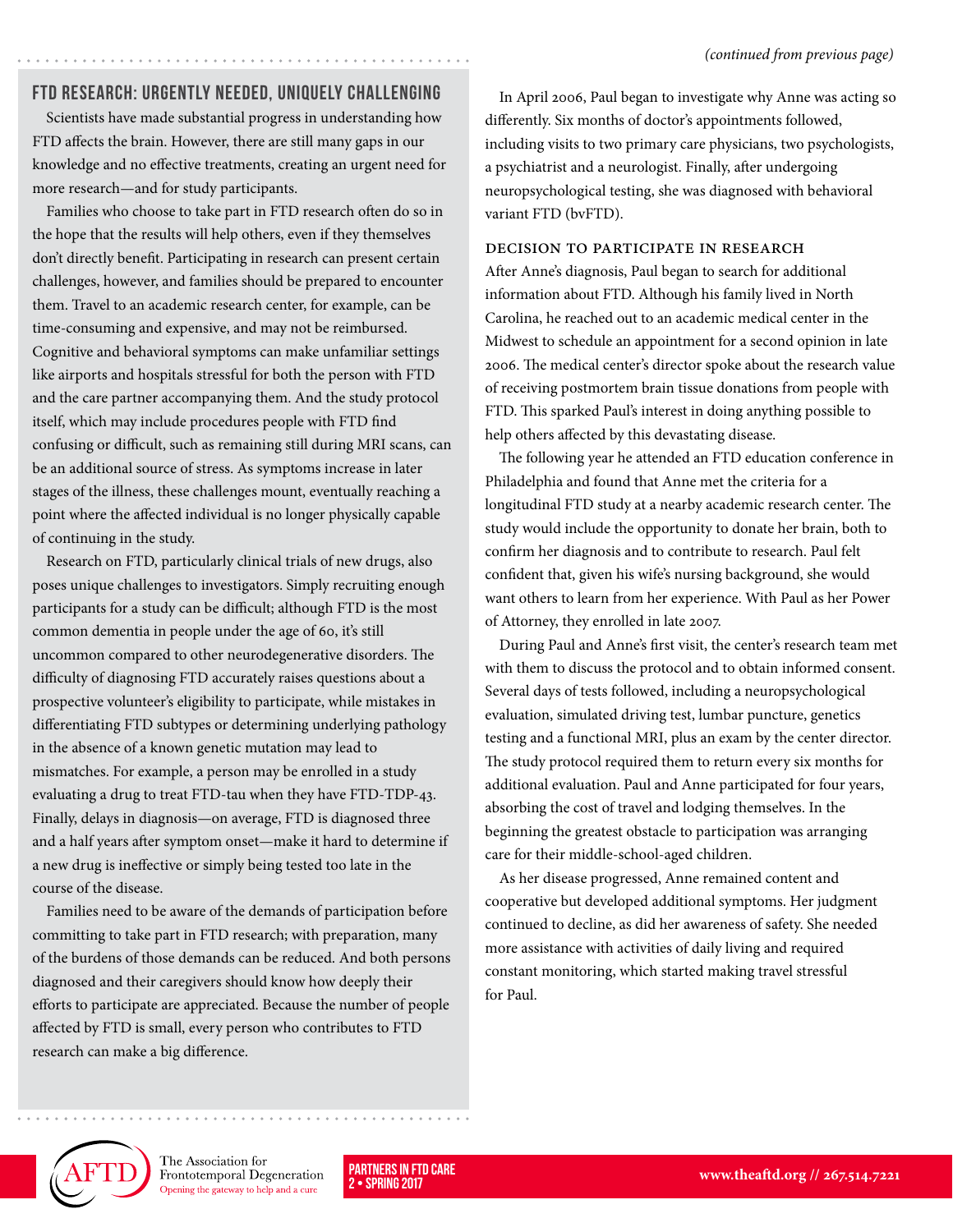#### FTD Research: Urgently Needed, Uniquely Challenging

Scientists have made substantial progress in understanding how FTD affects the brain. However, there are still many gaps in our knowledge and no effective treatments, creating an urgent need for more research—and for study participants.

Families who choose to take part in FTD research often do so in the hope that the results will help others, even if they themselves don't directly benefit. Participating in research can present certain challenges, however, and families should be prepared to encounter them. Travel to an academic research center, for example, can be time-consuming and expensive, and may not be reimbursed. Cognitive and behavioral symptoms can make unfamiliar settings like airports and hospitals stressful for both the person with FTD and the care partner accompanying them. And the study protocol itself, which may include procedures people with FTD find confusing or difficult, such as remaining still during MRI scans, can be an additional source of stress. As symptoms increase in later stages of the illness, these challenges mount, eventually reaching a point where the affected individual is no longer physically capable of continuing in the study.

Research on FTD, particularly clinical trials of new drugs, also poses unique challenges to investigators. Simply recruiting enough participants for a study can be difficult; although FTD is the most common dementia in people under the age of 60, it's still uncommon compared to other neurodegenerative disorders. The difficulty of diagnosing FTD accurately raises questions about a prospective volunteer's eligibility to participate, while mistakes in differentiating FTD subtypes or determining underlying pathology in the absence of a known genetic mutation may lead to mismatches. For example, a person may be enrolled in a study evaluating a drug to treat FTD-tau when they have FTD-TDP-43. Finally, delays in diagnosis—on average, FTD is diagnosed three and a half years after symptom onset—make it hard to determine if a new drug is ineffective or simply being tested too late in the course of the disease.

Families need to be aware of the demands of participation before committing to take part in FTD research; with preparation, many of the burdens of those demands can be reduced. And both persons diagnosed and their caregivers should know how deeply their efforts to participate are appreciated. Because the number of people affected by FTD is small, every person who contributes to FTD research can make a big difference.

In April 2006, Paul began to investigate why Anne was acting so differently. Six months of doctor's appointments followed, including visits to two primary care physicians, two psychologists, a psychiatrist and a neurologist. Finally, after undergoing neuropsychological testing, she was diagnosed with behavioral variant FTD (bvFTD).

#### Decision to Participate in Research

After Anne's diagnosis, Paul began to search for additional information about FTD. Although his family lived in North Carolina, he reached out to an academic medical center in the Midwest to schedule an appointment for a second opinion in late 2006. The medical center's director spoke about the research value of receiving postmortem brain tissue donations from people with FTD. This sparked Paul's interest in doing anything possible to help others affected by this devastating disease.

The following year he attended an FTD education conference in Philadelphia and found that Anne met the criteria for a longitudinal FTD study at a nearby academic research center. The study would include the opportunity to donate her brain, both to confirm her diagnosis and to contribute to research. Paul felt confident that, given his wife's nursing background, she would want others to learn from her experience. With Paul as her Power of Attorney, they enrolled in late 2007.

During Paul and Anne's first visit, the center's research team met with them to discuss the protocol and to obtain informed consent. Several days of tests followed, including a neuropsychological evaluation, simulated driving test, lumbar puncture, genetics testing and a functional MRI, plus an exam by the center director. The study protocol required them to return every six months for additional evaluation. Paul and Anne participated for four years, absorbing the cost of travel and lodging themselves. In the beginning the greatest obstacle to participation was arranging care for their middle-school-aged children.

As her disease progressed, Anne remained content and cooperative but developed additional symptoms. Her judgment continued to decline, as did her awareness of safety. She needed more assistance with activities of daily living and required constant monitoring, which started making travel stressful for Paul.



The Association for Frontotemporal Degeneration Opening the gateway to help and a cure

2 • SPRING 2017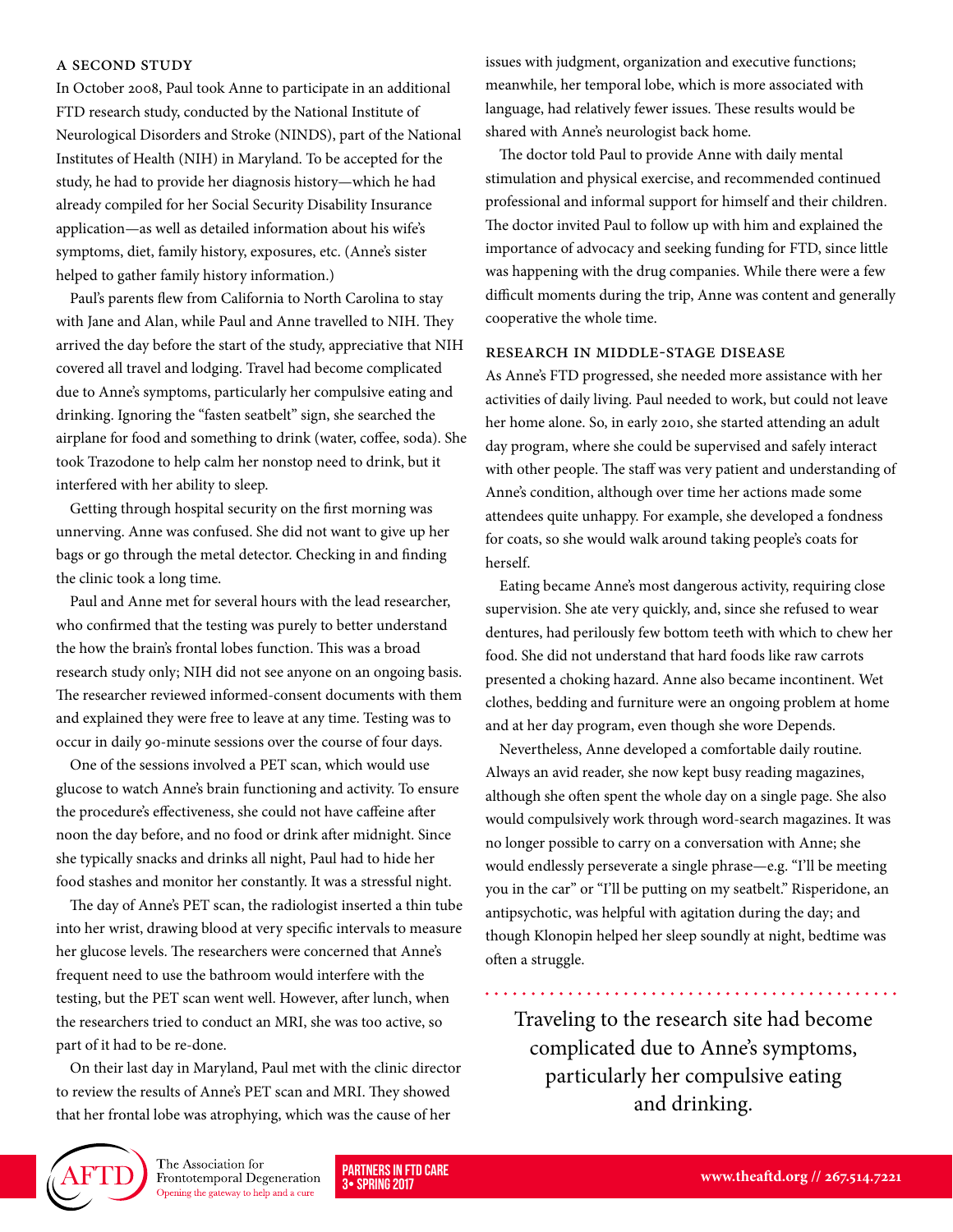#### A Second Study

In October 2008, Paul took Anne to participate in an additional FTD research study, conducted by the National Institute of Neurological Disorders and Stroke (NINDS), part of the National Institutes of Health (NIH) in Maryland. To be accepted for the study, he had to provide her diagnosis history—which he had already compiled for her Social Security Disability Insurance application—as well as detailed information about his wife's symptoms, diet, family history, exposures, etc. (Anne's sister helped to gather family history information.)

Paul's parents flew from California to North Carolina to stay with Jane and Alan, while Paul and Anne travelled to NIH. They arrived the day before the start of the study, appreciative that NIH covered all travel and lodging. Travel had become complicated due to Anne's symptoms, particularly her compulsive eating and drinking. Ignoring the "fasten seatbelt" sign, she searched the airplane for food and something to drink (water, coffee, soda). She took Trazodone to help calm her nonstop need to drink, but it interfered with her ability to sleep.

Getting through hospital security on the first morning was unnerving. Anne was confused. She did not want to give up her bags or go through the metal detector. Checking in and finding the clinic took a long time.

Paul and Anne met for several hours with the lead researcher, who confirmed that the testing was purely to better understand the how the brain's frontal lobes function. This was a broad research study only; NIH did not see anyone on an ongoing basis. The researcher reviewed informed-consent documents with them and explained they were free to leave at any time. Testing was to occur in daily 90-minute sessions over the course of four days.

One of the sessions involved a PET scan, which would use glucose to watch Anne's brain functioning and activity. To ensure the procedure's effectiveness, she could not have caffeine after noon the day before, and no food or drink after midnight. Since she typically snacks and drinks all night, Paul had to hide her food stashes and monitor her constantly. It was a stressful night.

The day of Anne's PET scan, the radiologist inserted a thin tube into her wrist, drawing blood at very specific intervals to measure her glucose levels. The researchers were concerned that Anne's frequent need to use the bathroom would interfere with the testing, but the PET scan went well. However, after lunch, when the researchers tried to conduct an MRI, she was too active, so part of it had to be re-done.

On their last day in Maryland, Paul met with the clinic director to review the results of Anne's PET scan and MRI. They showed that her frontal lobe was atrophying, which was the cause of her

issues with judgment, organization and executive functions; meanwhile, her temporal lobe, which is more associated with language, had relatively fewer issues. These results would be shared with Anne's neurologist back home.

The doctor told Paul to provide Anne with daily mental stimulation and physical exercise, and recommended continued professional and informal support for himself and their children. The doctor invited Paul to follow up with him and explained the importance of advocacy and seeking funding for FTD, since little was happening with the drug companies. While there were a few difficult moments during the trip, Anne was content and generally cooperative the whole time.

#### Research in Middle-Stage Disease

As Anne's FTD progressed, she needed more assistance with her activities of daily living. Paul needed to work, but could not leave her home alone. So, in early 2010, she started attending an adult day program, where she could be supervised and safely interact with other people. The staff was very patient and understanding of Anne's condition, although over time her actions made some attendees quite unhappy. For example, she developed a fondness for coats, so she would walk around taking people's coats for herself.

Eating became Anne's most dangerous activity, requiring close supervision. She ate very quickly, and, since she refused to wear dentures, had perilously few bottom teeth with which to chew her food. She did not understand that hard foods like raw carrots presented a choking hazard. Anne also became incontinent. Wet clothes, bedding and furniture were an ongoing problem at home and at her day program, even though she wore Depends.

Nevertheless, Anne developed a comfortable daily routine. Always an avid reader, she now kept busy reading magazines, although she often spent the whole day on a single page. She also would compulsively work through word-search magazines. It was no longer possible to carry on a conversation with Anne; she would endlessly perseverate a single phrase—e.g. "I'll be meeting you in the car" or "I'll be putting on my seatbelt." Risperidone, an antipsychotic, was helpful with agitation during the day; and though Klonopin helped her sleep soundly at night, bedtime was often a struggle.

Traveling to the research site had become complicated due to Anne's symptoms, particularly her compulsive eating and drinking.



The Association for Frontotemporal Degeneration Opening the gateway to help and a cure

3• SPRING 2017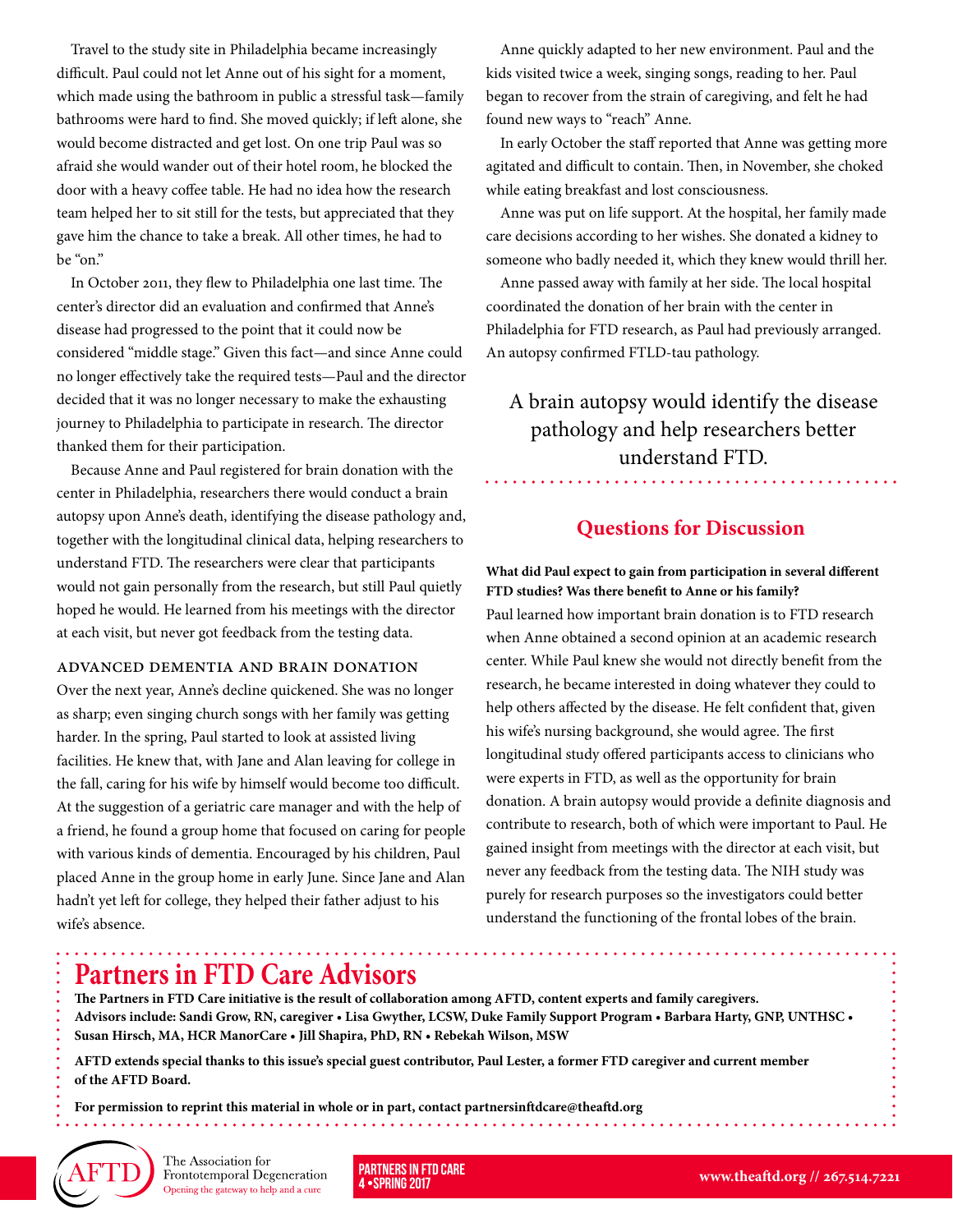Travel to the study site in Philadelphia became increasingly difficult. Paul could not let Anne out of his sight for a moment, which made using the bathroom in public a stressful task—family bathrooms were hard to find. She moved quickly; if left alone, she would become distracted and get lost. On one trip Paul was so afraid she would wander out of their hotel room, he blocked the door with a heavy coffee table. He had no idea how the research team helped her to sit still for the tests, but appreciated that they gave him the chance to take a break. All other times, he had to be "on."

In October 2011, they flew to Philadelphia one last time. The center's director did an evaluation and confirmed that Anne's disease had progressed to the point that it could now be considered "middle stage." Given this fact—and since Anne could no longer effectively take the required tests—Paul and the director decided that it was no longer necessary to make the exhausting journey to Philadelphia to participate in research. The director thanked them for their participation.

Because Anne and Paul registered for brain donation with the center in Philadelphia, researchers there would conduct a brain autopsy upon Anne's death, identifying the disease pathology and, together with the longitudinal clinical data, helping researchers to understand FTD. The researchers were clear that participants would not gain personally from the research, but still Paul quietly hoped he would. He learned from his meetings with the director at each visit, but never got feedback from the testing data.

#### Advanced Dementia and Brain Donation

Over the next year, Anne's decline quickened. She was no longer as sharp; even singing church songs with her family was getting harder. In the spring, Paul started to look at assisted living facilities. He knew that, with Jane and Alan leaving for college in the fall, caring for his wife by himself would become too difficult. At the suggestion of a geriatric care manager and with the help of a friend, he found a group home that focused on caring for people with various kinds of dementia. Encouraged by his children, Paul placed Anne in the group home in early June. Since Jane and Alan hadn't yet left for college, they helped their father adjust to his wife's absence.

Anne quickly adapted to her new environment. Paul and the kids visited twice a week, singing songs, reading to her. Paul began to recover from the strain of caregiving, and felt he had found new ways to "reach" Anne.

In early October the staff reported that Anne was getting more agitated and difficult to contain. Then, in November, she choked while eating breakfast and lost consciousness.

Anne was put on life support. At the hospital, her family made care decisions according to her wishes. She donated a kidney to someone who badly needed it, which they knew would thrill her.

Anne passed away with family at her side. The local hospital coordinated the donation of her brain with the center in Philadelphia for FTD research, as Paul had previously arranged. An autopsy confirmed FTLD-tau pathology.

A brain autopsy would identify the disease pathology and help researchers better understand FTD.

### **Questions for Discussion**

**What did Paul expect to gain from participation in several different FTD studies? Was there benefit to Anne or his family?**  Paul learned how important brain donation is to FTD research when Anne obtained a second opinion at an academic research center. While Paul knew she would not directly benefit from the research, he became interested in doing whatever they could to help others affected by the disease. He felt confident that, given his wife's nursing background, she would agree. The first longitudinal study offered participants access to clinicians who were experts in FTD, as well as the opportunity for brain donation. A brain autopsy would provide a definite diagnosis and contribute to research, both of which were important to Paul. He gained insight from meetings with the director at each visit, but never any feedback from the testing data. The NIH study was purely for research purposes so the investigators could better understand the functioning of the frontal lobes of the brain.

# **Partners in FTD Care Advisors**

**The Partners in FTD Care initiative is the result of collaboration among AFTD, content experts and family caregivers. Advisors include: Sandi Grow, RN, caregiver • Lisa Gwyther, LCSW, Duke Family Support Program • Barbara Harty, GNP, UNTHSC • Susan Hirsch, MA, HCR ManorCare • Jill Shapira, PhD, RN • Rebekah Wilson, MSW**

**AFTD extends special thanks to this issue's special guest contributor, Paul Lester, a former FTD caregiver and current member of the AFTD Board.** 

**For permission to reprint this material in whole or in part, contact partnersinftdcare@theaftd.org**



The Association for Frontotemporal Degeneration Opening the gateway to help and a cure

4 •SPRING 2017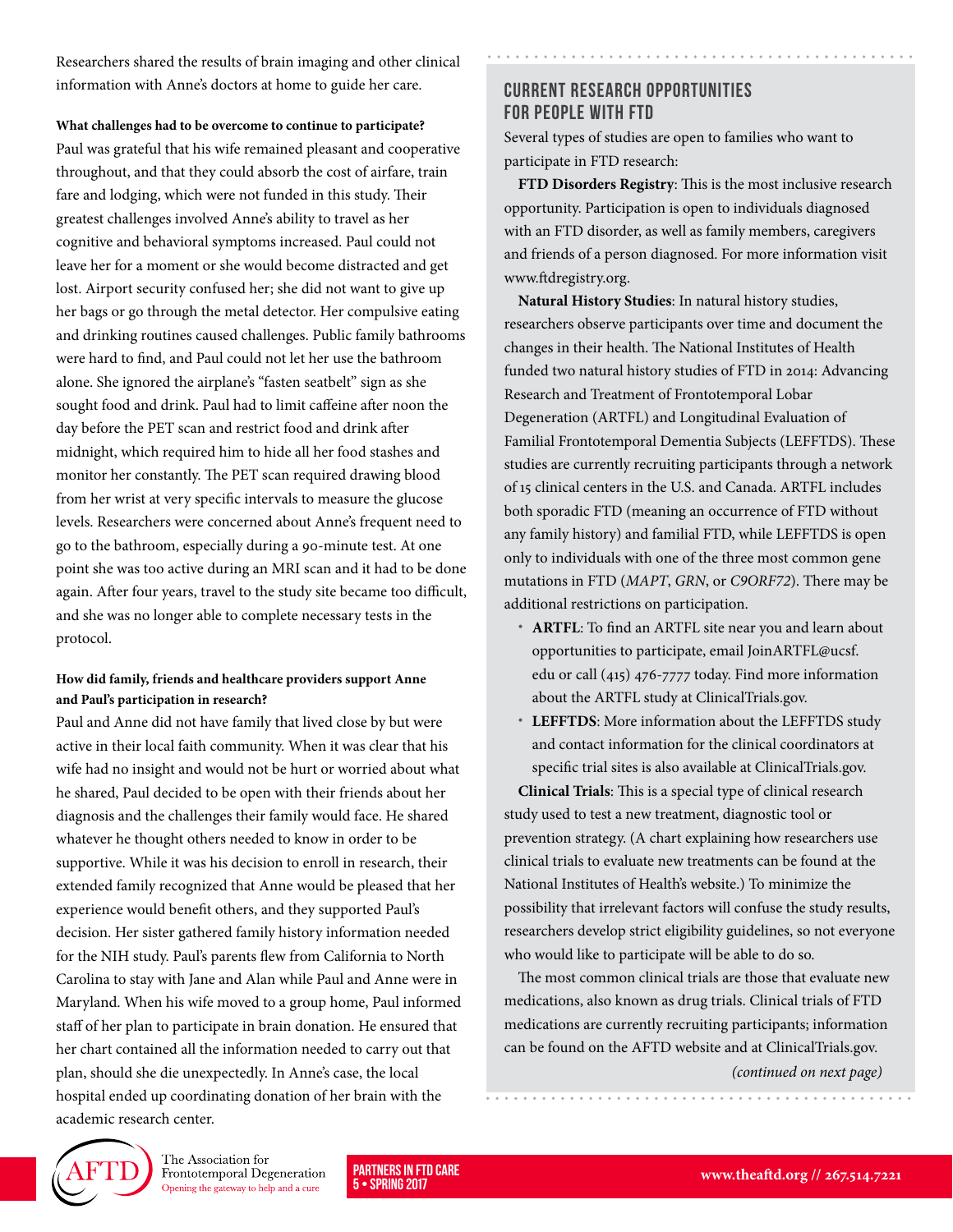Researchers shared the results of brain imaging and other clinical information with Anne's doctors at home to guide her care.

**What challenges had to be overcome to continue to participate?** 

Paul was grateful that his wife remained pleasant and cooperative throughout, and that they could absorb the cost of airfare, train fare and lodging, which were not funded in this study. Their greatest challenges involved Anne's ability to travel as her cognitive and behavioral symptoms increased. Paul could not leave her for a moment or she would become distracted and get lost. Airport security confused her; she did not want to give up her bags or go through the metal detector. Her compulsive eating and drinking routines caused challenges. Public family bathrooms were hard to find, and Paul could not let her use the bathroom alone. She ignored the airplane's "fasten seatbelt" sign as she sought food and drink. Paul had to limit caffeine after noon the day before the PET scan and restrict food and drink after midnight, which required him to hide all her food stashes and monitor her constantly. The PET scan required drawing blood from her wrist at very specific intervals to measure the glucose levels. Researchers were concerned about Anne's frequent need to go to the bathroom, especially during a 90-minute test. At one point she was too active during an MRI scan and it had to be done again. After four years, travel to the study site became too difficult, and she was no longer able to complete necessary tests in the protocol.

#### **How did family, friends and healthcare providers support Anne and Paul's participation in research?**

Paul and Anne did not have family that lived close by but were active in their local faith community. When it was clear that his wife had no insight and would not be hurt or worried about what he shared, Paul decided to be open with their friends about her diagnosis and the challenges their family would face. He shared whatever he thought others needed to know in order to be supportive. While it was his decision to enroll in research, their extended family recognized that Anne would be pleased that her experience would benefit others, and they supported Paul's decision. Her sister gathered family history information needed for the NIH study. Paul's parents flew from California to North Carolina to stay with Jane and Alan while Paul and Anne were in Maryland. When his wife moved to a group home, Paul informed staff of her plan to participate in brain donation. He ensured that her chart contained all the information needed to carry out that plan, should she die unexpectedly. In Anne's case, the local hospital ended up coordinating donation of her brain with the academic research center.

## Current Research Opportunities for People with FTD

Several types of studies are open to families who want to participate in FTD research:

**FTD Disorders Registry**: This is the most inclusive research opportunity. Participation is open to individuals diagnosed with an FTD disorder, as well as family members, caregivers and friends of a person diagnosed. For more information visit www.ftdregistry.org.

**Natural History Studies**: In natural history studies, researchers observe participants over time and document the changes in their health. The National Institutes of Health funded two natural history studies of FTD in 2014: Advancing Research and Treatment of Frontotemporal Lobar Degeneration (ARTFL) and Longitudinal Evaluation of Familial Frontotemporal Dementia Subjects (LEFFTDS). These studies are currently recruiting participants through a network of 15 clinical centers in the U.S. and Canada. ARTFL includes both sporadic FTD (meaning an occurrence of FTD without any family history) and familial FTD, while LEFFTDS is open only to individuals with one of the three most common gene mutations in FTD (MAPT, GRN, or C9ORF72). There may be additional restrictions on participation.

- **• ARTFL**: To find an ARTFL site near you and learn about opportunities to participate, email [JoinARTFL@ucsf.](mailto:JoinARTFL@ucsf.edu) [edu](mailto:JoinARTFL@ucsf.edu) or call (415) 476-7777 today. Find more information about the ARTFL study at [ClinicalTrials.gov.](http://Clinicaltrials.gov)
- **• LEFFTDS**: More information about the LEFFTDS study and contact information for the clinical coordinators at specific trial sites is also available at ClinicalTrials.gov.

**Clinical Trials**: This is a special type of clinical research study used to test a new treatment, diagnostic tool or prevention strategy. (A chart explaining how researchers use clinical trials to evaluate new treatments can be found at the National Institutes of Health's website.) To minimize the possibility that irrelevant factors will confuse the study results, researchers develop strict eligibility guidelines, so not everyone who would like to participate will be able to do so.

The most common clinical trials are those that evaluate new medications, also known as drug trials. Clinical trials of FTD medications are currently recruiting participants; information can be found on the AFTD website and at [ClinicalTrials.gov.](http://ClinicalTrials.gov)

(continued on next page)



The Association for Frontotemporal Degeneration Opening the gateway to help and a cure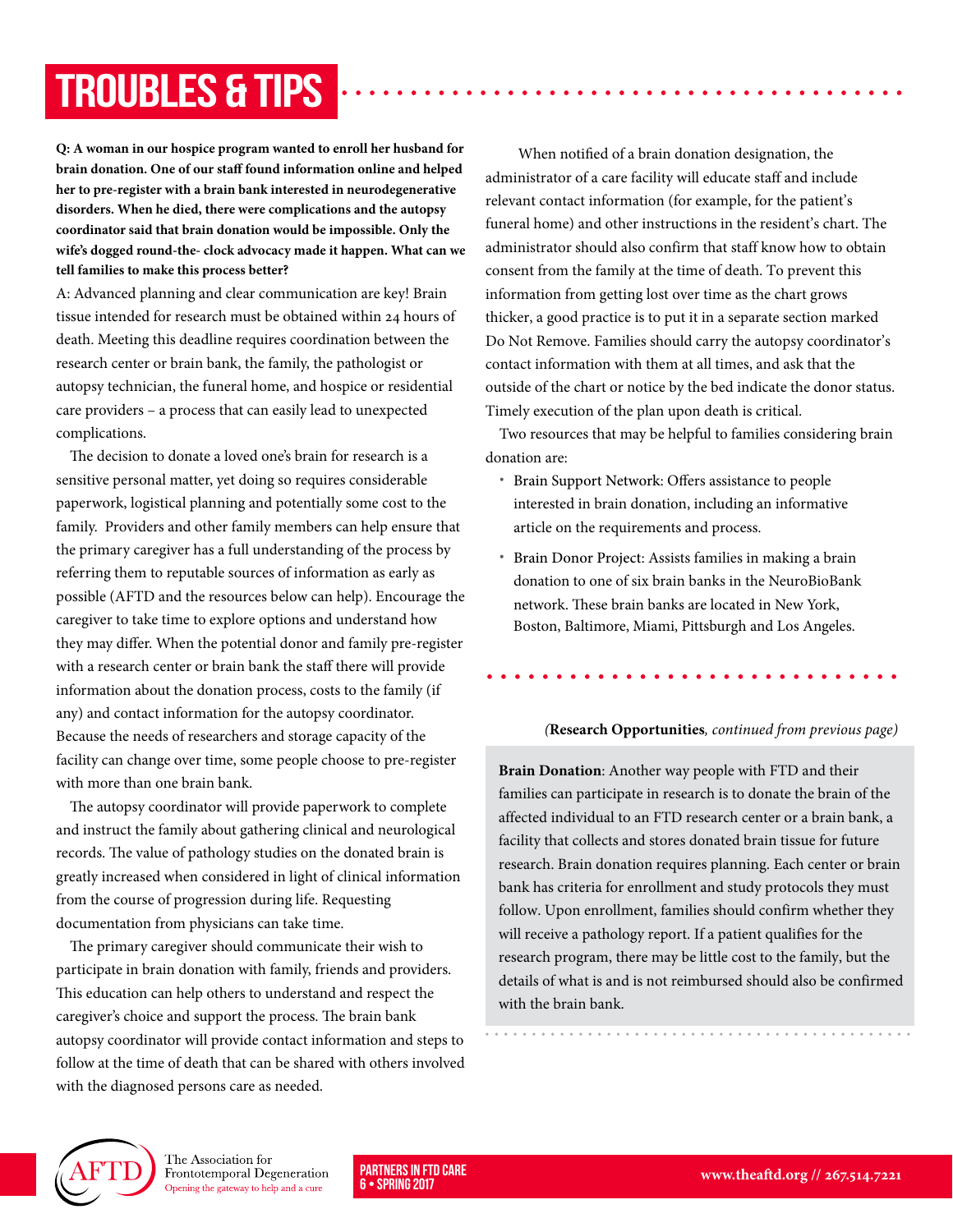# Troubles & Tips

**Q: A woman in our hospice program wanted to enroll her husband for brain donation. One of our staff found information online and helped her to pre-register with a brain bank interested in neurodegenerative disorders. When he died, there were complications and the autopsy coordinator said that brain donation would be impossible. Only the wife's dogged round-the- clock advocacy made it happen. What can we tell families to make this process better?** 

A: Advanced planning and clear communication are key! Brain tissue intended for research must be obtained within 24 hours of death. Meeting this deadline requires coordination between the research center or brain bank, the family, the pathologist or autopsy technician, the funeral home, and hospice or residential care providers – a process that can easily lead to unexpected complications.

The decision to donate a loved one's brain for research is a sensitive personal matter, yet doing so requires considerable paperwork, logistical planning and potentially some cost to the family. Providers and other family members can help ensure that the primary caregiver has a full understanding of the process by referring them to reputable sources of information as early as possible (AFTD and the resources below can help). Encourage the caregiver to take time to explore options and understand how they may differ. When the potential donor and family pre-register with a research center or brain bank the staff there will provide information about the donation process, costs to the family (if any) and contact information for the autopsy coordinator. Because the needs of researchers and storage capacity of the facility can change over time, some people choose to pre-register with more than one brain bank.

The autopsy coordinator will provide paperwork to complete and instruct the family about gathering clinical and neurological records. The value of pathology studies on the donated brain is greatly increased when considered in light of clinical information from the course of progression during life. Requesting documentation from physicians can take time.

The primary caregiver should communicate their wish to participate in brain donation with family, friends and providers. This education can help others to understand and respect the caregiver's choice and support the process. The brain bank autopsy coordinator will provide contact information and steps to follow at the time of death that can be shared with others involved with the diagnosed persons care as needed.

When notified of a brain donation designation, the administrator of a care facility will educate staff and include relevant contact information (for example, for the patient's funeral home) and other instructions in the resident's chart. The administrator should also confirm that staff know how to obtain consent from the family at the time of death. To prevent this information from getting lost over time as the chart grows thicker, a good practice is to put it in a separate section marked Do Not Remove. Families should carry the autopsy coordinator's contact information with them at all times, and ask that the outside of the chart or notice by the bed indicate the donor status. Timely execution of the plan upon death is critical.

Two resources that may be helpful to families considering brain donation are:

- **•** [Brain Support Network](https://www.brainsupportnetwork.org/brain-donation/brain-donation-requirements-and-process/): Offers assistance to people interested in brain donation, including an informative article on the requirements and process.
- **•** Brain Donor Project: Assists families in making a brain donation to one of six brain banks in the NeuroBioBank network. These brain banks are located in New York, Boston, Baltimore, Miami, Pittsburgh and Los Angeles.

#### (**Research Opportunities**, continued from previous page)

**Brain Donation**: Another way people with FTD and their families can participate in research is to donate the brain of the affected individual to an FTD research center or a brain bank, a facility that collects and stores donated brain tissue for future research. Brain donation requires planning. Each center or brain bank has criteria for enrollment and study protocols they must follow. Upon enrollment, families should confirm whether they will receive a pathology report. If a patient qualifies for the research program, there may be little cost to the family, but the details of what is and is not reimbursed should also be confirmed with the brain bank.



The Association for Frontotemporal Degeneration Opening the gateway to help and a cure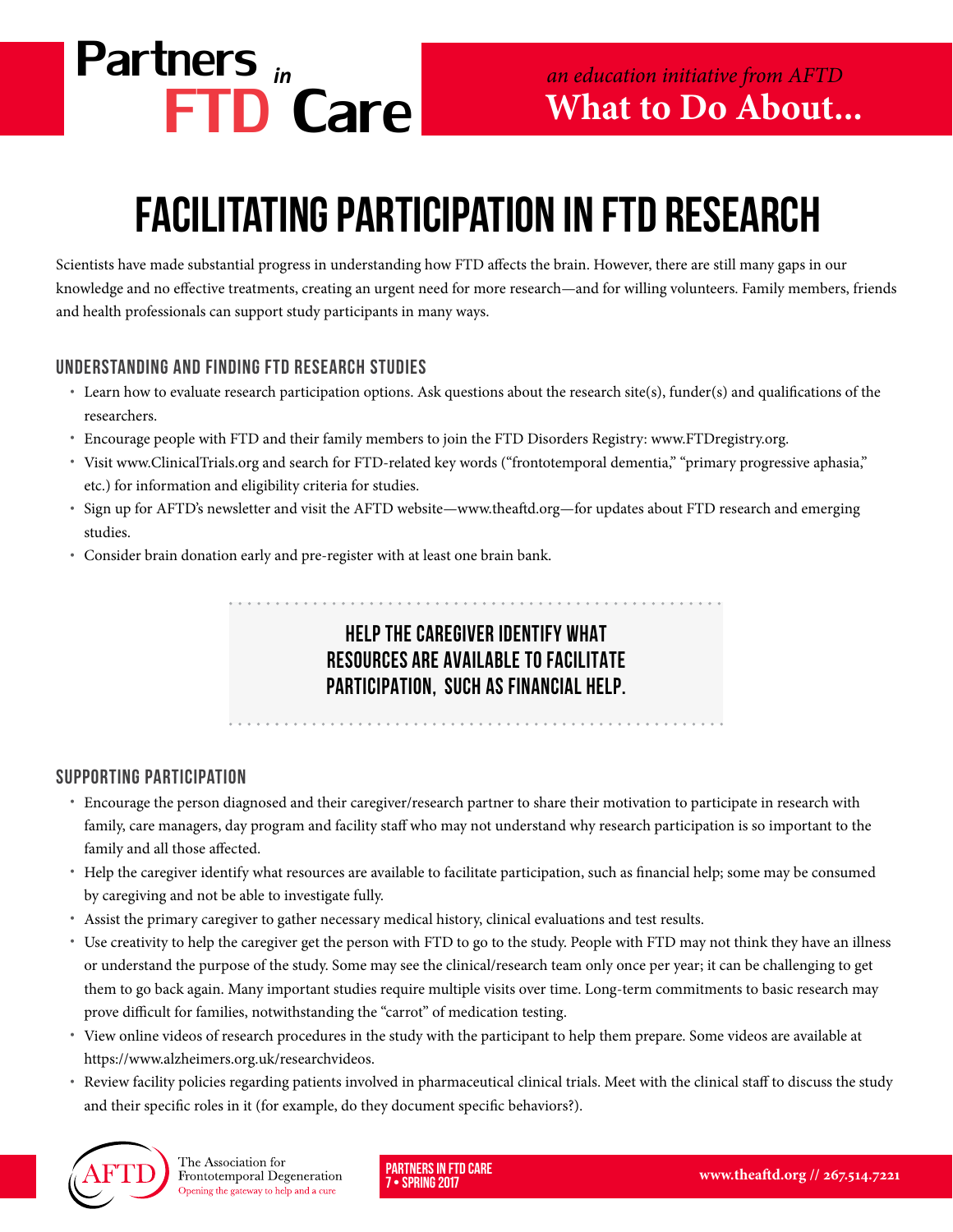

# Facilitating Participation in FTD Research

Scientists have made substantial progress in understanding how FTD affects the brain. However, there are still many gaps in our knowledge and no effective treatments, creating an urgent need for more research—and for willing volunteers. Family members, friends and health professionals can support study participants in many ways.

# Understanding and finding FTD research studies

- **•** Learn how to evaluate research participation options. Ask questions about the research site(s), funder(s) and qualifications of the researchers.
- **•** Encourage people with FTD and their family members to join the FTD Disorders Registry: www.FTDregistry.org.
- **•** Visit www.ClinicalTrials.org and search for FTD-related key words ("frontotemporal dementia," "primary progressive aphasia," etc.) for information and eligibility criteria for studies.
- **•** Sign up for AFTD's newsletter and visit the AFTD website—[www.theaftd.org—](http://www.theaftd.org)for updates about FTD research and emerging studies.
- **•** Consider brain donation early and pre-register with at least one brain bank.

# Help the caregiver identify what resources are available to facilitate participation, such as financial help.

## Supporting participation

- **•** Encourage the person diagnosed and their caregiver/research partner to share their motivation to participate in research with family, care managers, day program and facility staff who may not understand why research participation is so important to the family and all those affected.
- **•** Help the caregiver identify what resources are available to facilitate participation, such as financial help; some may be consumed by caregiving and not be able to investigate fully.
- **•** Assist the primary caregiver to gather necessary medical history, clinical evaluations and test results.
- **•** Use creativity to help the caregiver get the person with FTD to go to the study. People with FTD may not think they have an illness or understand the purpose of the study. Some may see the clinical/research team only once per year; it can be challenging to get them to go back again. Many important studies require multiple visits over time. Long-term commitments to basic research may prove difficult for families, notwithstanding the "carrot" of medication testing.
- **•** View online videos of research procedures in the study with the participant to help them prepare. Some videos are available at https://www.alzheimers.org.uk/researchvideos.
- **•** Review facility policies regarding patients involved in pharmaceutical clinical trials. Meet with the clinical staff to discuss the study and their specific roles in it (for example, do they document specific behaviors?).